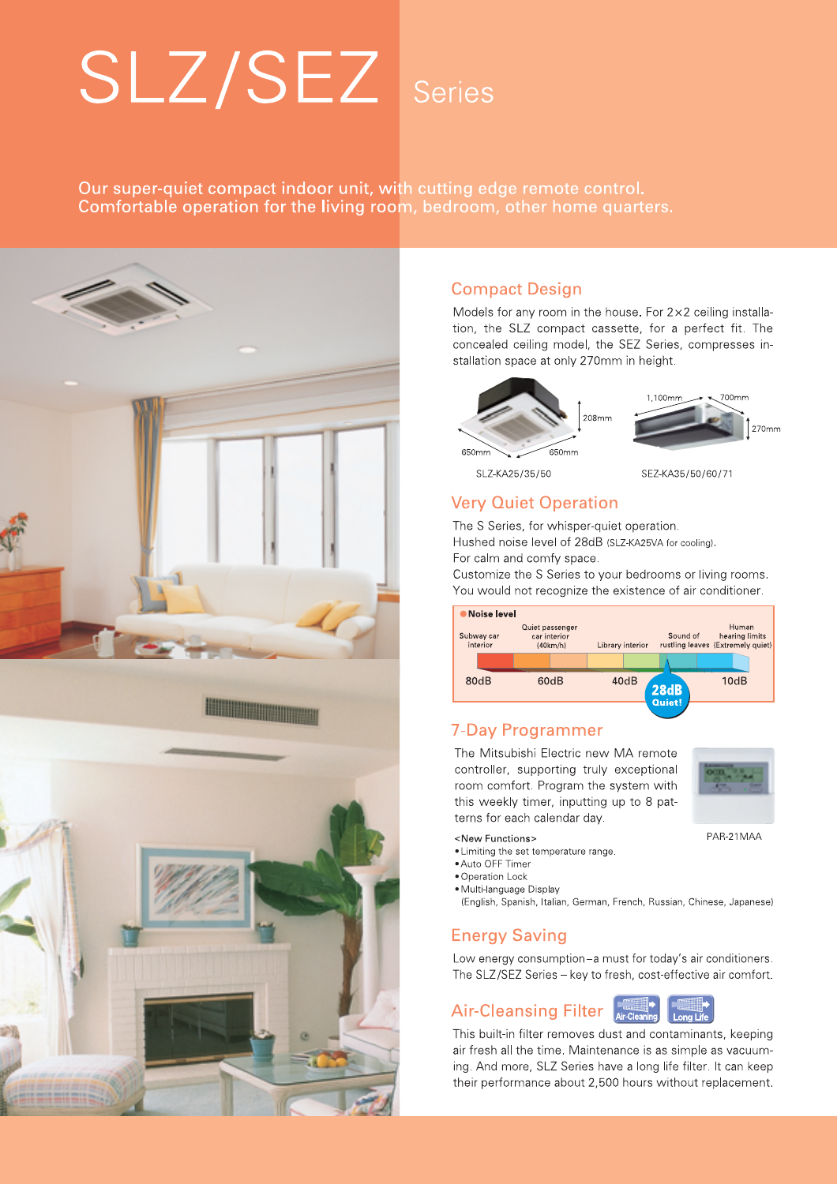# **SLZ/SEZ** Series

Our super-quiet compact indoor unit, with cutting edge remote control. Comfortable operation for the living room, bedroom, other home quarters.



### **Compact Design**

Models for any room in the house. For  $2 \times 2$  ceiling installation, the SLZ compact cassette, for a perfect fit. The concealed ceiling model, the SEZ Series, compresses installation space at only 270mm in height.





SLZ-KA25/35/50

SEZ-KA35/50/60/71

## **Very Quiet Operation**

The S Series, for whisper-quiet operation. Hushed noise level of 28dB (SLZ-KA25VA for cooling). For calm and comfy space.

Customize the S Series to your bedrooms or living rooms. You would not recognize the existence of air conditioner.

| Noise level            |                                             |                  |             |                                                              |
|------------------------|---------------------------------------------|------------------|-------------|--------------------------------------------------------------|
| Subway car<br>interior | Quiet passenger<br>car interior<br>(40km/h) | Library interior | Sound of    | Human<br>hearing limits<br>rustling leaves (Extremely quiet) |
|                        |                                             |                  |             |                                                              |
| 80dB                   | 60dB                                        | 40dB             | <b>28dB</b> | 10dB                                                         |
|                        |                                             |                  | Quiet!      |                                                              |

## **7-Day Programmer**

The Mitsubishi Electric new MA remote controller, supporting truly exceptional room comfort. Program the system with this weekly timer, inputting up to 8 patterns for each calendar day.



PAR-21MAA

#### <New Functions>

- · Limiting the set temperature range.
- · Auto OFF Timer
- · Operation Lock
- · Multi-language Display

(English, Spanish, Italian, German, French, Russian, Chinese, Japanese)

## **Energy Saving**

Low energy consumption-a must for today's air conditioners. The SLZ/SEZ Series - key to fresh, cost-effective air comfort.

# **Air-Cleansing Filter**



This built-in filter removes dust and contaminants, keeping air fresh all the time. Maintenance is as simple as vacuuming. And more, SLZ Series have a long life filter. It can keep their performance about 2,500 hours without replacement.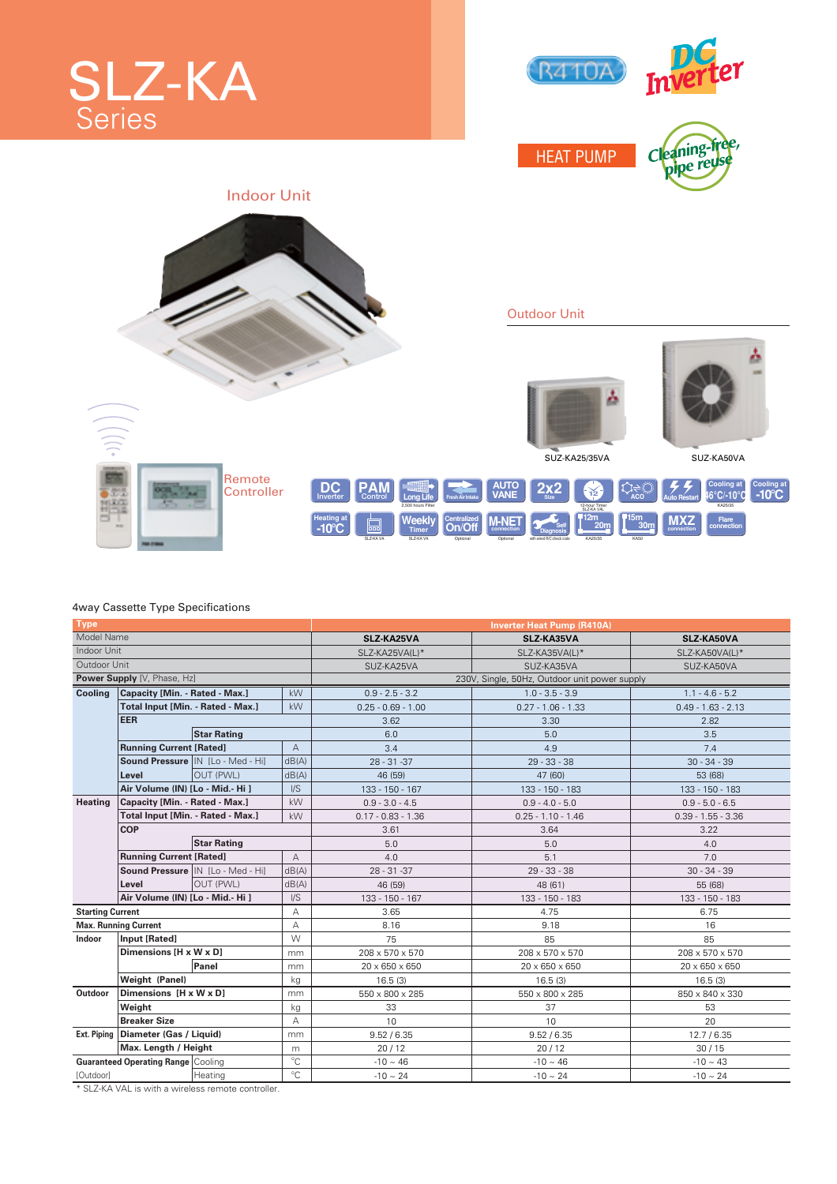

#### 4way Cassette Type Specifications

| <b>Type</b>                                      |                                     |                                                |                         | <b>Inverter Heat Pump (R410A)</b>             |                            |                      |  |
|--------------------------------------------------|-------------------------------------|------------------------------------------------|-------------------------|-----------------------------------------------|----------------------------|----------------------|--|
| Model Name                                       |                                     |                                                |                         | SLZ-KA25VA                                    | SLZ-KA35VA                 | SLZ-KA50VA           |  |
| Indoor Unit                                      |                                     |                                                |                         | SLZ-KA25VA(L)*                                | SLZ-KA35VA(L)*             | SLZ-KA50VA(L)*       |  |
| Outdoor Unit                                     |                                     |                                                |                         | SUZ-KA25VA                                    | SUZ-KA35VA                 | SUZ-KA50VA           |  |
|                                                  | Power Supply [V, Phase, Hz]         |                                                |                         | 230V, Single, 50Hz, Outdoor unit power supply |                            |                      |  |
| Cooling<br>Capacity [Min. - Rated - Max.]        |                                     | kW                                             | $0.9 - 2.5 - 3.2$       | $1.0 - 3.5 - 3.9$                             | $1.1 - 4.6 - 5.2$          |                      |  |
|                                                  | Total Input [Min. - Rated - Max.]   |                                                | kW                      | $0.25 - 0.69 - 1.00$                          | $0.27 - 1.06 - 1.33$       | $0.49 - 1.63 - 2.13$ |  |
|                                                  | <b>EER</b>                          |                                                |                         | 3.62                                          | 3.30                       | 2.82                 |  |
|                                                  | <b>Star Rating</b>                  |                                                |                         | 6.0                                           | 5.0                        | 3.5                  |  |
| <b>Running Current [Rated]</b>                   |                                     |                                                | $\overline{A}$          | 3.4                                           | 4.9                        | 7.4                  |  |
|                                                  |                                     | Sound Pressure IN [Lo - Med - Hi]              | dB(A)                   | $28 - 31 - 37$                                | $29 - 33 - 38$             | $30 - 34 - 39$       |  |
|                                                  | Level                               | <b>OUT (PWL)</b>                               | dB(A)                   | 46 (59)                                       | 47 (60)                    | 53 (68)              |  |
| Air Volume (IN) [Lo - Mid.- Hi ]                 |                                     | $\mathsf{U}\mathsf{S}$                         | 133 - 150 - 167         | 133 - 150 - 183                               | 133 - 150 - 183            |                      |  |
| Capacity [Min. - Rated - Max.]<br><b>Heating</b> |                                     |                                                | kW                      | $0.9 - 3.0 - 4.5$                             | $0.9 - 4.0 - 5.0$          | $0.9 - 5.0 - 6.5$    |  |
|                                                  |                                     | Total Input [Min. - Rated - Max.]<br><b>kW</b> |                         | $0.17 - 0.83 - 1.36$                          | $0.25 - 1.10 - 1.46$       | $0.39 - 1.55 - 3.36$ |  |
|                                                  | <b>COP</b><br><b>Star Rating</b>    |                                                | 3.61                    | 3.64                                          | 3.22                       |                      |  |
|                                                  |                                     |                                                |                         | 5.0                                           | 5.0                        | 4.0                  |  |
|                                                  | <b>Running Current [Rated]</b>      |                                                | A                       | 4.0                                           | 5.1                        | 7.0                  |  |
|                                                  |                                     | Sound Pressure   IN [Lo - Med - Hi]            | dB(A)                   | $28 - 31 - 37$                                | $29 - 33 - 38$             | $30 - 34 - 39$       |  |
|                                                  | Level                               | <b>OUT (PWL)</b>                               | dB(A)                   | 46 (59)                                       | 48 (61)                    | 55 (68)              |  |
|                                                  | Air Volume (IN) [Lo - Mid.- Hi ]    |                                                | $\frac{1}{\mathcal{S}}$ | 133 - 150 - 167                               | 133 - 150 - 183            | 133 - 150 - 183      |  |
| <b>Starting Current</b><br>А                     |                                     |                                                |                         | 3.65                                          | 4.75                       | 6.75                 |  |
| <b>Max. Running Current</b>                      |                                     |                                                | А                       | 8.16                                          | 9.18                       | 16                   |  |
| Indoor                                           | Input [Rated]                       |                                                | W                       | 75                                            | 85                         | 85                   |  |
|                                                  | Dimensions [H x W x D]              |                                                | mm                      | 208 x 570 x 570                               | 208 x 570 x 570            | 208 x 570 x 570      |  |
|                                                  |                                     | Panel                                          | mm                      | 20 x 650 x 650                                | $20 \times 650 \times 650$ | 20 x 650 x 650       |  |
|                                                  | Weight (Panel)                      |                                                | kg                      | 16.5(3)                                       | 16.5(3)                    | 16.5(3)              |  |
| Outdoor                                          | Dimensions [H x W x D]              |                                                | mm.                     | 550 x 800 x 285                               | 550 x 800 x 285            | 850 x 840 x 330      |  |
| Weight                                           |                                     | kg                                             | 33                      | 37                                            | 53                         |                      |  |
| <b>Breaker Size</b><br>А                         |                                     | 10                                             | 10                      | 20                                            |                            |                      |  |
|                                                  | Ext. Piping Diameter (Gas / Liquid) |                                                | mm                      | 9.52 / 6.35                                   | 9.52 / 6.35                | 12.7/6.35            |  |
|                                                  | Max. Length / Height                |                                                | m                       | 20/12                                         | 20/12                      | 30/15                |  |
| Guaranteed Operating Range Cooling               |                                     |                                                | $^{\circ}$ C            | $-10 \sim 46$                                 | $-10 \sim 46$              | $-10 \sim 43$        |  |
| [Outdoor]                                        |                                     | Heating                                        | $^{\circ}$ C            | $-10 \sim 24$                                 | $-10 \sim 24$              | $-10 \sim 24$        |  |

\* SLZ-KA VAL is with a wireless remote controller.